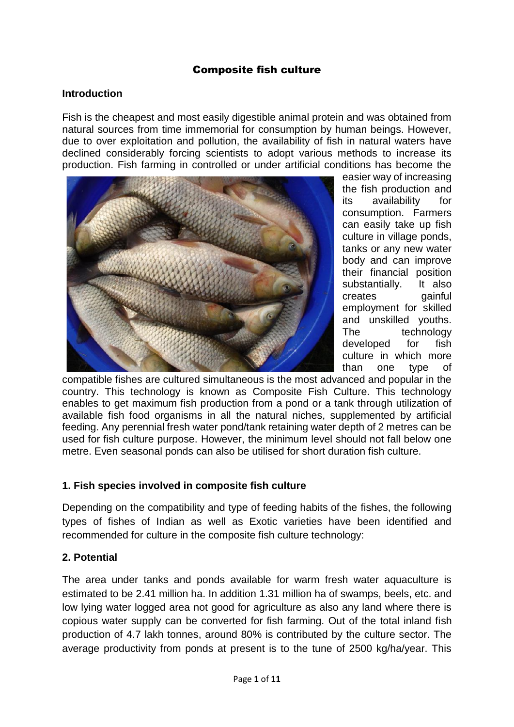#### Composite fish culture

#### **Introduction**

Fish is the cheapest and most easily digestible animal protein and was obtained from natural sources from time immemorial for consumption by human beings. However, due to over exploitation and pollution, the availability of fish in natural waters have declined considerably forcing scientists to adopt various methods to increase its production. Fish farming in controlled or under artificial conditions has become the



easier way of increasing the fish production and its availability for consumption. Farmers can easily take up fish culture in village ponds, tanks or any new water body and can improve their financial position substantially. It also creates gainful employment for skilled and unskilled youths. The technology developed for fish culture in which more than one type of

compatible fishes are cultured simultaneous is the most advanced and popular in the country. This technology is known as Composite Fish Culture. This technology enables to get maximum fish production from a pond or a tank through utilization of available fish food organisms in all the natural niches, supplemented by artificial feeding. Any perennial fresh water pond/tank retaining water depth of 2 metres can be used for fish culture purpose. However, the minimum level should not fall below one metre. Even seasonal ponds can also be utilised for short duration fish culture.

#### **1. Fish species involved in composite fish culture**

Depending on the compatibility and type of feeding habits of the fishes, the following types of fishes of Indian as well as Exotic varieties have been identified and recommended for culture in the composite fish culture technology:

#### **2. Potential**

The area under tanks and ponds available for warm fresh water aquaculture is estimated to be 2.41 million ha. In addition 1.31 million ha of swamps, beels, etc. and low lying water logged area not good for agriculture as also any land where there is copious water supply can be converted for fish farming. Out of the total inland fish production of 4.7 lakh tonnes, around 80% is contributed by the culture sector. The average productivity from ponds at present is to the tune of 2500 kg/ha/year. This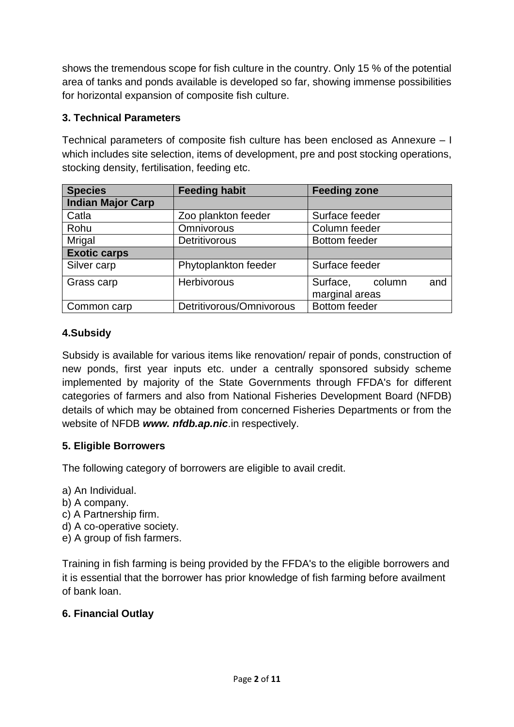shows the tremendous scope for fish culture in the country. Only 15 % of the potential area of tanks and ponds available is developed so far, showing immense possibilities for horizontal expansion of composite fish culture.

# **3. Technical Parameters**

Technical parameters of composite fish culture has been enclosed as Annexure – I which includes site selection, items of development, pre and post stocking operations, stocking density, fertilisation, feeding etc.

| <b>Species</b>           | <b>Feeding habit</b>     | <b>Feeding zone</b>                         |
|--------------------------|--------------------------|---------------------------------------------|
| <b>Indian Major Carp</b> |                          |                                             |
| Catla                    | Zoo plankton feeder      | Surface feeder                              |
| Rohu                     | Omnivorous               | Column feeder                               |
| <b>Mrigal</b>            | Detritivorous            | <b>Bottom feeder</b>                        |
| <b>Exotic carps</b>      |                          |                                             |
| Silver carp              | Phytoplankton feeder     | Surface feeder                              |
| Grass carp               | <b>Herbivorous</b>       | Surface,<br>column<br>and<br>marginal areas |
| Common carp              | Detritivorous/Omnivorous | <b>Bottom</b> feeder                        |

## **4.Subsidy**

Subsidy is available for various items like renovation/ repair of ponds, construction of new ponds, first year inputs etc. under a centrally sponsored subsidy scheme implemented by majority of the State Governments through FFDA's for different categories of farmers and also from National Fisheries Development Board (NFDB) details of which may be obtained from concerned Fisheries Departments or from the website of NFDB *www. nfdb.ap.nic*.in respectively.

## **5. Eligible Borrowers**

The following category of borrowers are eligible to avail credit.

- a) An Individual.
- b) A company.
- c) A Partnership firm.
- d) A co-operative society.
- e) A group of fish farmers.

Training in fish farming is being provided by the FFDA's to the eligible borrowers and it is essential that the borrower has prior knowledge of fish farming before availment of bank loan.

## **6. Financial Outlay**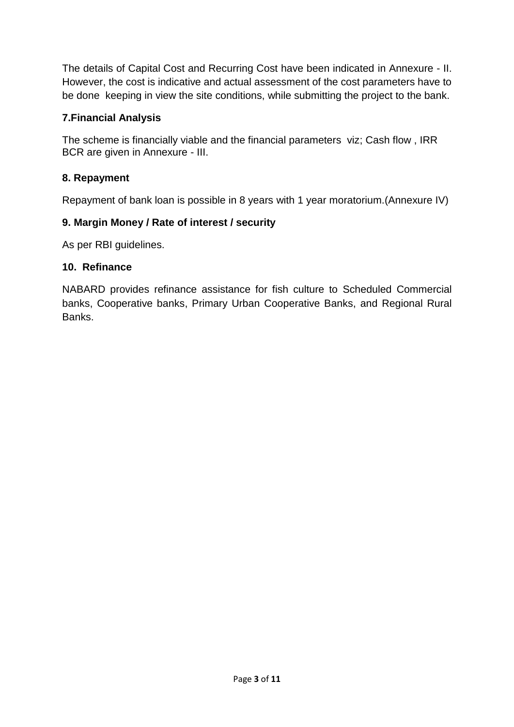The details of Capital Cost and Recurring Cost have been indicated in Annexure - II. However, the cost is indicative and actual assessment of the cost parameters have to be done keeping in view the site conditions, while submitting the project to the bank.

#### **7.Financial Analysis**

The scheme is financially viable and the financial parameters viz; Cash flow , IRR BCR are given in Annexure - III.

## **8. Repayment**

Repayment of bank loan is possible in 8 years with 1 year moratorium.(Annexure IV)

#### **9. Margin Money / Rate of interest / security**

As per RBI guidelines.

#### **10. Refinance**

NABARD provides refinance assistance for fish culture to Scheduled Commercial banks, Cooperative banks, Primary Urban Cooperative Banks, and Regional Rural Banks.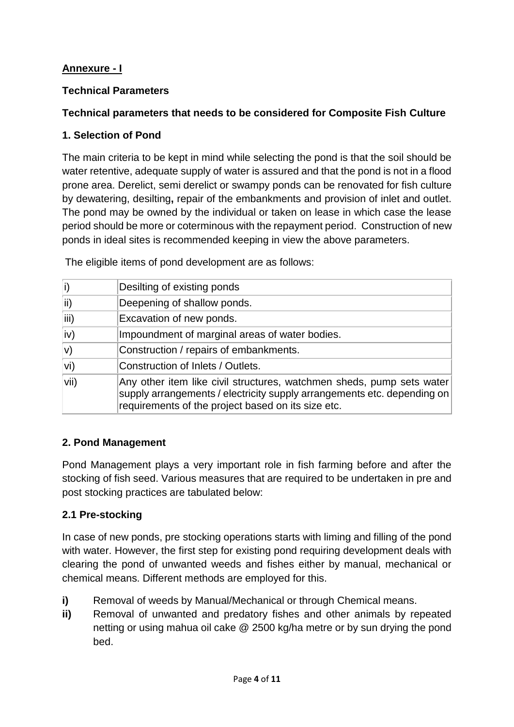# **Annexure - I**

## **Technical Parameters**

## **Technical parameters that needs to be considered for Composite Fish Culture**

#### **1. Selection of Pond**

The main criteria to be kept in mind while selecting the pond is that the soil should be water retentive, adequate supply of water is assured and that the pond is not in a flood prone area. Derelict, semi derelict or swampy ponds can be renovated for fish culture by dewatering, desilting**,** repair of the embankments and provision of inlet and outlet. The pond may be owned by the individual or taken on lease in which case the lease period should be more or coterminous with the repayment period. Construction of new ponds in ideal sites is recommended keeping in view the above parameters.

| i)         | Desilting of existing ponds                                                                                                                                                                            |
|------------|--------------------------------------------------------------------------------------------------------------------------------------------------------------------------------------------------------|
| $\ket{ii}$ | Deepening of shallow ponds.                                                                                                                                                                            |
| iii)       | Excavation of new ponds.                                                                                                                                                                               |
| iv)        | Impoundment of marginal areas of water bodies.                                                                                                                                                         |
| V)         | Construction / repairs of embankments.                                                                                                                                                                 |
| vi)        | Construction of Inlets / Outlets.                                                                                                                                                                      |
| vii)       | Any other item like civil structures, watchmen sheds, pump sets water<br>supply arrangements / electricity supply arrangements etc. depending on<br>requirements of the project based on its size etc. |

The eligible items of pond development are as follows:

#### **2. Pond Management**

Pond Management plays a very important role in fish farming before and after the stocking of fish seed. Various measures that are required to be undertaken in pre and post stocking practices are tabulated below:

## **2.1 Pre-stocking**

In case of new ponds, pre stocking operations starts with liming and filling of the pond with water. However, the first step for existing pond requiring development deals with clearing the pond of unwanted weeds and fishes either by manual, mechanical or chemical means. Different methods are employed for this.

- **i)** Removal of weeds by Manual/Mechanical or through Chemical means.
- **ii)** Removal of unwanted and predatory fishes and other animals by repeated netting or using mahua oil cake @ 2500 kg/ha metre or by sun drying the pond bed.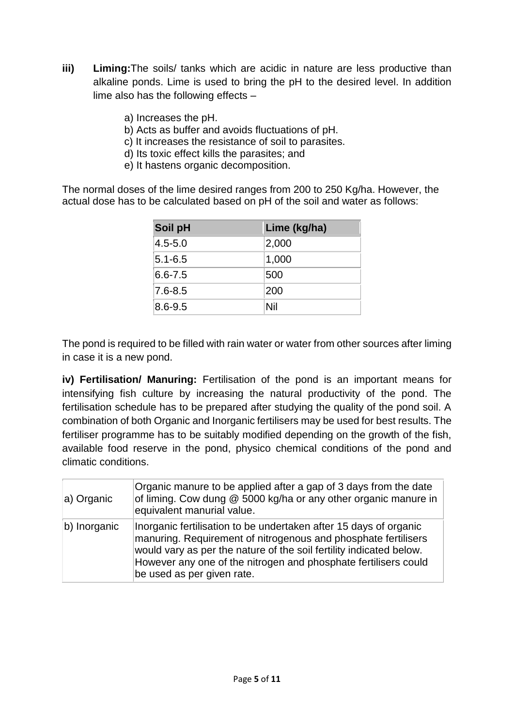- **iii) Liming:**The soils/ tanks which are acidic in nature are less productive than alkaline ponds. Lime is used to bring the pH to the desired level. In addition lime also has the following effects –
	- a) Increases the pH.
	- b) Acts as buffer and avoids fluctuations of pH.
	- c) It increases the resistance of soil to parasites.
	- d) Its toxic effect kills the parasites; and
	- e) It hastens organic decomposition.

The normal doses of the lime desired ranges from 200 to 250 Kg/ha. However, the actual dose has to be calculated based on pH of the soil and water as follows:

| Soil pH     | Lime (kg/ha) |
|-------------|--------------|
| $4.5 - 5.0$ | 2,000        |
| $5.1 - 6.5$ | 1,000        |
| $6.6 - 7.5$ | 500          |
| $7.6 - 8.5$ | 200          |
| 8.6-9.5     | Nil          |

The pond is required to be filled with rain water or water from other sources after liming in case it is a new pond.

**iv) Fertilisation/ Manuring:** Fertilisation of the pond is an important means for intensifying fish culture by increasing the natural productivity of the pond. The fertilisation schedule has to be prepared after studying the quality of the pond soil. A combination of both Organic and Inorganic fertilisers may be used for best results. The fertiliser programme has to be suitably modified depending on the growth of the fish, available food reserve in the pond, physico chemical conditions of the pond and climatic conditions.

| a) Organic   | Organic manure to be applied after a gap of 3 days from the date<br>of liming. Cow dung @ 5000 kg/ha or any other organic manure in<br>equivalent manurial value.                                                                                                                                           |
|--------------|-------------------------------------------------------------------------------------------------------------------------------------------------------------------------------------------------------------------------------------------------------------------------------------------------------------|
| b) Inorganic | Inorganic fertilisation to be undertaken after 15 days of organic<br>manuring. Requirement of nitrogenous and phosphate fertilisers<br>would vary as per the nature of the soil fertility indicated below.<br>However any one of the nitrogen and phosphate fertilisers could<br>be used as per given rate. |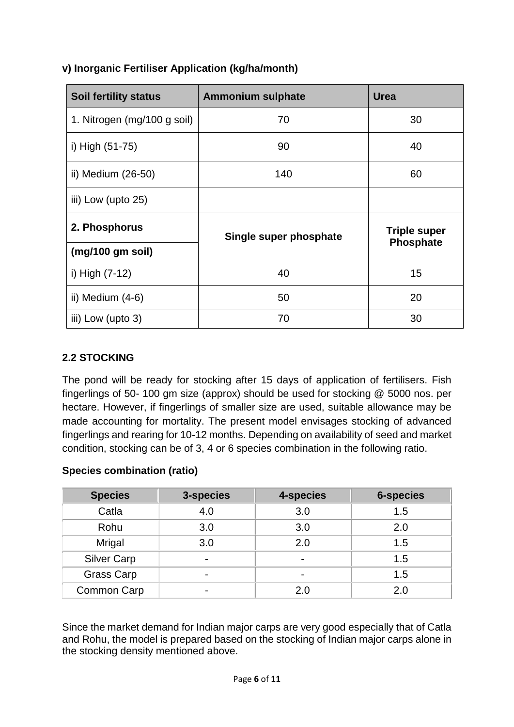| <b>Soil fertility status</b> | <b>Ammonium sulphate</b> | <b>Urea</b>                      |  |
|------------------------------|--------------------------|----------------------------------|--|
| 1. Nitrogen (mg/100 g soil)  | 70                       | 30                               |  |
| i) High (51-75)              | 90                       | 40                               |  |
| ii) Medium (26-50)           | 140                      | 60                               |  |
| iii) Low (upto 25)           |                          |                                  |  |
| 2. Phosphorus                | Single super phosphate   | <b>Triple super</b><br>Phosphate |  |
| (mg/100 gm soil)             |                          |                                  |  |
| i) High (7-12)               | 40                       | 15                               |  |
| ii) Medium $(4-6)$           | 50                       | 20                               |  |
| iii) Low (upto 3)            | 70                       | 30                               |  |

## **v) Inorganic Fertiliser Application (kg/ha/month)**

## **2.2 STOCKING**

The pond will be ready for stocking after 15 days of application of fertilisers. Fish fingerlings of 50- 100 gm size (approx) should be used for stocking @ 5000 nos. per hectare. However, if fingerlings of smaller size are used, suitable allowance may be made accounting for mortality. The present model envisages stocking of advanced fingerlings and rearing for 10-12 months. Depending on availability of seed and market condition, stocking can be of 3, 4 or 6 species combination in the following ratio.

#### **Species combination (ratio)**

| <b>Species</b>     | 3-species | 4-species | <b>6-species</b> |
|--------------------|-----------|-----------|------------------|
| Catla              | 4.0       | 3.0       | 1.5              |
| Rohu               | 3.0       | 3.0       | 2.0              |
| <b>Mrigal</b>      | 3.0       | 2.0       | 1.5              |
| <b>Silver Carp</b> |           |           | 1.5              |
| <b>Grass Carp</b>  |           |           | 1.5              |
| Common Carp        |           | 2.0       | 2.0              |

Since the market demand for Indian major carps are very good especially that of Catla and Rohu, the model is prepared based on the stocking of Indian major carps alone in the stocking density mentioned above.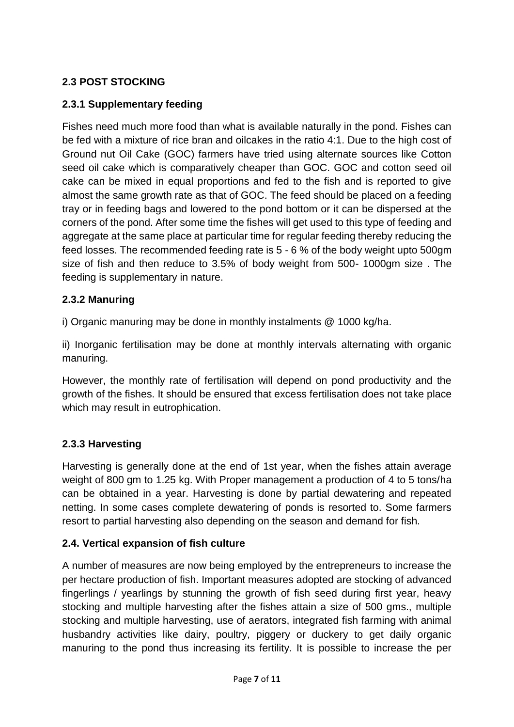# **2.3 POST STOCKING**

# **2.3.1 Supplementary feeding**

Fishes need much more food than what is available naturally in the pond. Fishes can be fed with a mixture of rice bran and oilcakes in the ratio 4:1. Due to the high cost of Ground nut Oil Cake (GOC) farmers have tried using alternate sources like Cotton seed oil cake which is comparatively cheaper than GOC. GOC and cotton seed oil cake can be mixed in equal proportions and fed to the fish and is reported to give almost the same growth rate as that of GOC. The feed should be placed on a feeding tray or in feeding bags and lowered to the pond bottom or it can be dispersed at the corners of the pond. After some time the fishes will get used to this type of feeding and aggregate at the same place at particular time for regular feeding thereby reducing the feed losses. The recommended feeding rate is 5 - 6 % of the body weight upto 500gm size of fish and then reduce to 3.5% of body weight from 500- 1000gm size . The feeding is supplementary in nature.

#### **2.3.2 Manuring**

i) Organic manuring may be done in monthly instalments @ 1000 kg/ha.

ii) Inorganic fertilisation may be done at monthly intervals alternating with organic manuring.

However, the monthly rate of fertilisation will depend on pond productivity and the growth of the fishes. It should be ensured that excess fertilisation does not take place which may result in eutrophication.

## **2.3.3 Harvesting**

Harvesting is generally done at the end of 1st year, when the fishes attain average weight of 800 gm to 1.25 kg. With Proper management a production of 4 to 5 tons/ha can be obtained in a year. Harvesting is done by partial dewatering and repeated netting. In some cases complete dewatering of ponds is resorted to. Some farmers resort to partial harvesting also depending on the season and demand for fish.

## **2.4. Vertical expansion of fish culture**

A number of measures are now being employed by the entrepreneurs to increase the per hectare production of fish. Important measures adopted are stocking of advanced fingerlings / yearlings by stunning the growth of fish seed during first year, heavy stocking and multiple harvesting after the fishes attain a size of 500 gms., multiple stocking and multiple harvesting, use of aerators, integrated fish farming with animal husbandry activities like dairy, poultry, piggery or duckery to get daily organic manuring to the pond thus increasing its fertility. It is possible to increase the per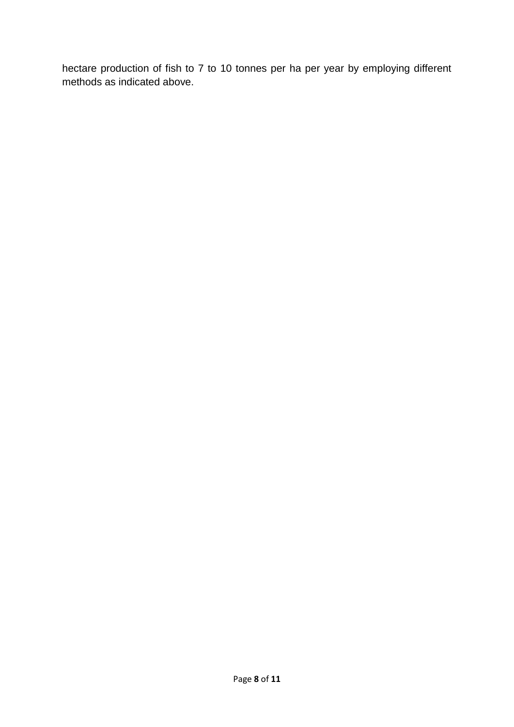hectare production of fish to 7 to 10 tonnes per ha per year by employing different methods as indicated above.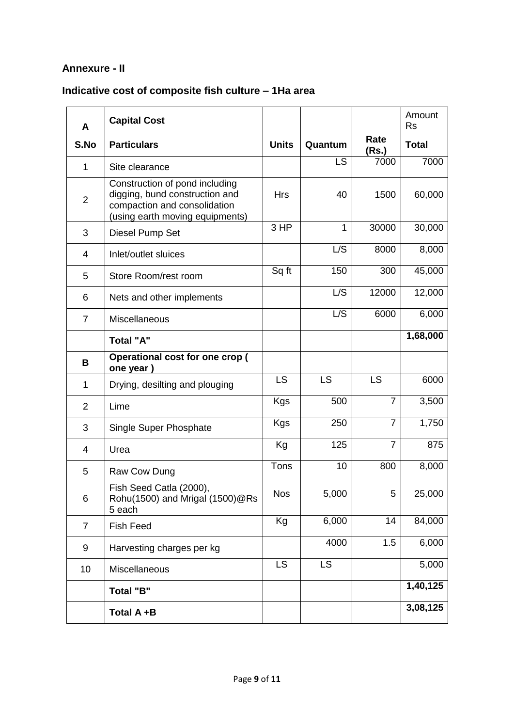## **Annexure - II**

# **Indicative cost of composite fish culture – 1Ha area**

| A              | <b>Capital Cost</b>                                                                                                                 |              |           |                | Amount<br><b>Rs</b> |
|----------------|-------------------------------------------------------------------------------------------------------------------------------------|--------------|-----------|----------------|---------------------|
| S.No           | <b>Particulars</b>                                                                                                                  | <b>Units</b> | Quantum   | Rate<br>(Rs.)  | <b>Total</b>        |
| $\mathbf{1}$   | Site clearance                                                                                                                      |              | LS        | 7000           | 7000                |
| $\overline{2}$ | Construction of pond including<br>digging, bund construction and<br>compaction and consolidation<br>(using earth moving equipments) | <b>Hrs</b>   | 40        | 1500           | 60,000              |
| 3              | Diesel Pump Set                                                                                                                     | 3 HP         | 1         | 30000          | 30,000              |
| $\overline{4}$ | Inlet/outlet sluices                                                                                                                |              | L/S       | 8000           | 8,000               |
| 5              | Store Room/rest room                                                                                                                | Sq ft        | 150       | 300            | 45,000              |
| 6              | Nets and other implements                                                                                                           |              | L/S       | 12000          | 12,000              |
| $\overline{7}$ | Miscellaneous                                                                                                                       |              | L/S       | 6000           | 6,000               |
|                | <b>Total "A"</b>                                                                                                                    |              |           |                | 1,68,000            |
| B              | Operational cost for one crop (<br>one year)                                                                                        |              |           |                |                     |
| 1              | Drying, desilting and plouging                                                                                                      | <b>LS</b>    | <b>LS</b> | <b>LS</b>      | 6000                |
| $\overline{2}$ | Lime                                                                                                                                | <b>Kgs</b>   | 500       | $\overline{7}$ | 3,500               |
| 3              | Single Super Phosphate                                                                                                              | <b>Kgs</b>   | 250       | $\overline{7}$ | 1,750               |
| 4              | Urea                                                                                                                                | Kg           | 125       | $\overline{7}$ | 875                 |
| 5              | Raw Cow Dung                                                                                                                        | Tons         | 10        | 800            | 8,000               |
| 6              | Fish Seed Catla (2000),<br>Rohu(1500) and Mrigal (1500) @Rs<br>5 each                                                               | <b>Nos</b>   | 5,000     | 5              | 25,000              |
| $\overline{7}$ | <b>Fish Feed</b>                                                                                                                    | Kg           | 6,000     | 14             | 84,000              |
| 9              | Harvesting charges per kg                                                                                                           |              | 4000      | 1.5            | 6,000               |
| 10             | <b>Miscellaneous</b>                                                                                                                | <b>LS</b>    | <b>LS</b> |                | 5,000               |
|                | <b>Total "B"</b>                                                                                                                    |              |           |                | 1,40,125            |
|                | Total A +B                                                                                                                          |              |           |                | 3,08,125            |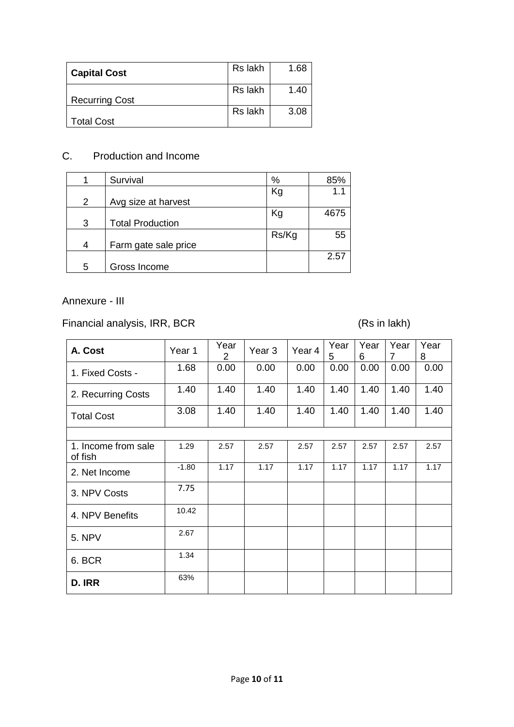| <b>Capital Cost</b>   | Rs lakh | 1.68 |
|-----------------------|---------|------|
| <b>Recurring Cost</b> | Rs lakh | 1.40 |
| <b>Total Cost</b>     | Rs lakh | 3.08 |

# C. Production and Income

|   | Survival                | %     | 85%  |
|---|-------------------------|-------|------|
| 2 | Avg size at harvest     | Kg    |      |
| 3 | <b>Total Production</b> | Kg    | 4675 |
| 4 | Farm gate sale price    | Rs/Kg | 55   |
| 5 | Gross Income            |       | 2.57 |

Annexure - III

Financial analysis, IRR, BCR (Rs in lakh)

| A. Cost                        | Year 1  | Year<br>2 | Year <sub>3</sub> | Year 4 | Year<br>5 | Year<br>6 | Year<br>7 | Year<br>8 |
|--------------------------------|---------|-----------|-------------------|--------|-----------|-----------|-----------|-----------|
| 1. Fixed Costs -               | 1.68    | 0.00      | 0.00              | 0.00   | 0.00      | 0.00      | 0.00      | 0.00      |
| 2. Recurring Costs             | 1.40    | 1.40      | 1.40              | 1.40   | 1.40      | 1.40      | 1.40      | 1.40      |
| <b>Total Cost</b>              | 3.08    | 1.40      | 1.40              | 1.40   | 1.40      | 1.40      | 1.40      | 1.40      |
|                                |         |           |                   |        |           |           |           |           |
| 1. Income from sale<br>of fish | 1.29    | 2.57      | 2.57              | 2.57   | 2.57      | 2.57      | 2.57      | 2.57      |
| 2. Net Income                  | $-1.80$ | 1.17      | 1.17              | 1.17   | 1.17      | 1.17      | 1.17      | 1.17      |
| 3. NPV Costs                   | 7.75    |           |                   |        |           |           |           |           |
| 4. NPV Benefits                | 10.42   |           |                   |        |           |           |           |           |
| <b>5. NPV</b>                  | 2.67    |           |                   |        |           |           |           |           |
| 6. BCR                         | 1.34    |           |                   |        |           |           |           |           |
| D. IRR                         | 63%     |           |                   |        |           |           |           |           |